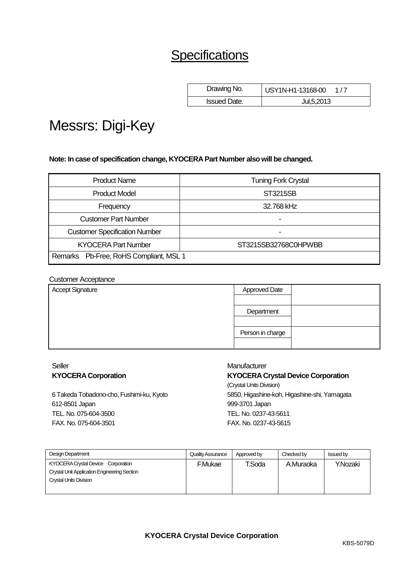# **Specifications**

| Drawing No.         | USY1N-H1-13168-00 |
|---------------------|-------------------|
| <b>Issued Date.</b> | Jul, 5, 2013      |

# Messrs: Digi-Key

**Note: In case of specification change, KYOCERA Part Number also will be changed.**

| <b>Product Name</b>                    | <b>Tuning Fork Crystal</b> |
|----------------------------------------|----------------------------|
| <b>Product Model</b>                   | <b>ST3215SB</b>            |
| Frequency                              | 32.768 kHz                 |
| <b>Customer Part Number</b>            | -                          |
| <b>Customer Specification Number</b>   |                            |
| <b>KYOCERA Part Number</b>             | ST3215SB32768C0HPWBB       |
| Remarks Pb-Free, RoHS Compliant, MSL 1 |                            |

#### Customer Acceptance

| <b>Approved Date</b> |  |
|----------------------|--|
|                      |  |
| Department           |  |
|                      |  |
| Person in charge     |  |
|                      |  |
|                      |  |

#### Seller **KYOCERA Corporation**

6 Takeda Tobadono-cho, Fushimi-ku, Kyoto 612-8501 Japan TEL. No. 075-604-3500 FAX. No. 075-604-3501

#### **Manufacturer**

**KYOCERA Crystal Device Corporation** (Crystal Units Division) 5850, Higashine-koh, Higashine-shi, Yamagata 999-3701 Japan TEL. No. 0237-43-5611 FAX. No. 0237-43-5615

| Design Department                            | Quality Assurance | Approved by | Checked by | <b>Issued by</b> |
|----------------------------------------------|-------------------|-------------|------------|------------------|
| KYOCERA Crystal Device Corporation           | <b>F.Mukae</b>    | T.Soda      | A.Muraoka  | Y.Nozaki         |
| Crystal Unit Application Engineering Section |                   |             |            |                  |
| <b>Crystal Units Division</b>                |                   |             |            |                  |
|                                              |                   |             |            |                  |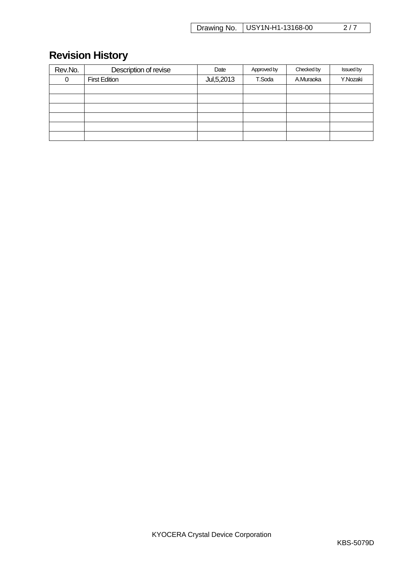Drawing No. | USY1N-H1-13168-00 2/7

# **Revision History**

| Rev.No. | Description of revise | Date         | Approved by | Checked by | <b>Issued by</b> |
|---------|-----------------------|--------------|-------------|------------|------------------|
| 0       | <b>First Edition</b>  | Jul, 5, 2013 | T.Soda      | A.Muraoka  | Y.Nozaki         |
|         |                       |              |             |            |                  |
|         |                       |              |             |            |                  |
|         |                       |              |             |            |                  |
|         |                       |              |             |            |                  |
|         |                       |              |             |            |                  |
|         |                       |              |             |            |                  |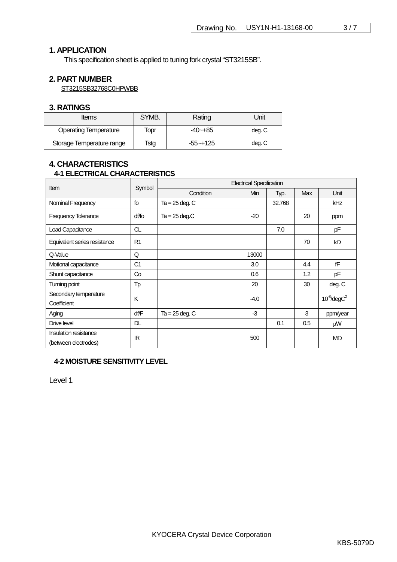# **1. APPLICATION**

This specification sheet is applied to tuning fork crystal "ST3215SB".

### **2. PART NUMBER**

ST3215SB32768C0HPWBB

#### **3. RATINGS**

| <b>Items</b>                 | SYMB. | Rating   | Jnit   |
|------------------------------|-------|----------|--------|
| <b>Operating Temperature</b> | Topr  | -40~+85  | deg. C |
| Storage Temperature range    | Tstg  | -55~+125 | deg. C |

# **4. CHARACTERISTICS 4-1 ELECTRICAL CHARACTERISTICS**

| Item                                          |                |                    |        | <b>Electrical Specification</b> |     |                   |
|-----------------------------------------------|----------------|--------------------|--------|---------------------------------|-----|-------------------|
|                                               | Symbol         | Condition          | Min    | Typ.                            | Max | Unit              |
| Nominal Frequency                             | fo             | $Ta = 25$ deg. $C$ |        | 32.768                          |     | kHz               |
| <b>Frequency Tolerance</b>                    | df/fo          | $Ta = 25$ deg.C    | $-20$  |                                 | 20  | ppm               |
| <b>Load Capacitance</b>                       | <b>CL</b>      |                    |        | 7.0                             |     | pF                |
| Equivalent series resistance                  | R <sub>1</sub> |                    |        |                                 | 70  | kΩ                |
| Q-Value                                       | Q              |                    | 13000  |                                 |     |                   |
| Motional capacitance                          | C <sub>1</sub> |                    | 3.0    |                                 | 4.4 | fF                |
| Shunt capacitance                             | Co             |                    | 0.6    |                                 | 1.2 | pF                |
| Turning point                                 | Tp             |                    | 20     |                                 | 30  | deg. C            |
| Secondary temperature                         | K              |                    | $-4.0$ |                                 |     | $10^8$ /deg $C^2$ |
| Coefficient                                   |                |                    |        |                                 |     |                   |
| Aging                                         | df/F           | $Ta = 25$ deg. $C$ | $-3$   |                                 | 3   | ppm/year          |
| Drive level                                   | DL.            |                    |        | 0.1                             | 0.5 | μW                |
| Insulation resistance<br>(between electrodes) | IR             |                    | 500    |                                 |     | $M\Omega$         |

#### **4-2 MOISTURE SENSITIVITY LEVEL**

Level 1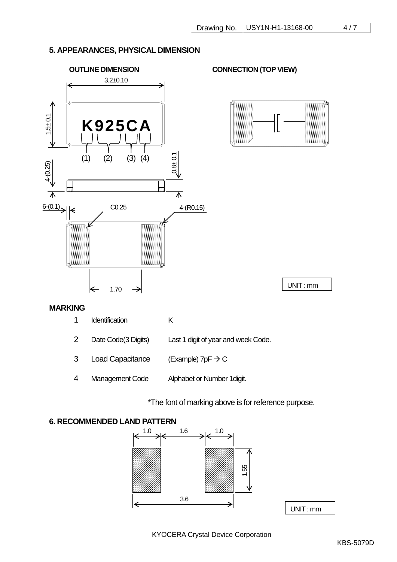# **5. APPEARANCES, PHYSICAL DIMENSION**



\*The font of marking above is for reference purpose.

# **6. RECOMMENDED LAND PATTERN**

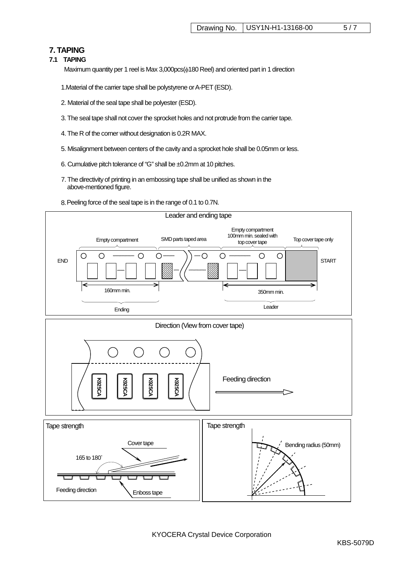# **7. TAPING**

#### **7.1 TAPING**

Maximum quantity per 1 reel is Max 3,000pcs(φ180 Reel) and oriented part in 1 direction

- 1.Material of the carrier tape shall be polystyrene or A-PET (ESD).
- 2. Material of the seal tape shall be polyester (ESD).
- 3. The seal tape shall not cover the sprocket holes and not protrude from the carrier tape.
- 4. The R of the corner without designation is 0.2R MAX.
- 5. Misalignment between centers of the cavity and a sprocket hole shall be 0.05mm or less.
- 6. Cumulative pitch tolerance of "G" shall be ±0.2mm at 10 pitches.
- 7. The directivity of printing in an embossing tape shall be unified as shown in the above-mentioned figure.
- 8.Peeling force of the seal tape is in the range of 0.1 to 0.7N.

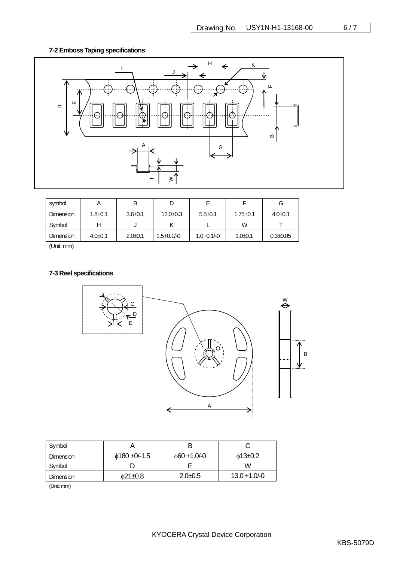# **7-2 Emboss Taping specifications**



| symbol    |               | B           |                |                 |                | G              |
|-----------|---------------|-------------|----------------|-----------------|----------------|----------------|
| Dimension | $1.8 + 0.1$   | $3.6 + 0.1$ | $12.0 + 0.3$   | $5.5+0.1$       | $1.75 \pm 0.1$ | $4.0 \pm 0.1$  |
| Symbol    |               | ν           |                |                 | W              |                |
| Dimension | $4.0 \pm 0.1$ | $2.0 + 0.1$ | $1.5 + 0.1/-0$ | $1.0 + 0.1 / 0$ | $1.0 + 0.1$    | $0.3 \pm 0.05$ |

(Unit: mm)

### **7-3 Reel specifications**



| Symbol           |                    |                  |                  |
|------------------|--------------------|------------------|------------------|
| <b>Dimension</b> | $\phi$ 180 +0/-1.5 | $\phi$ 60+1.0/-0 | $\phi$ 13±0.2    |
| Svmbol           |                    |                  | W                |
| Dimension        | $\delta$ 21±0.8    | $2.0 + 0.5$      | $13.0 + 1.0 - 0$ |

(Unit: mm)